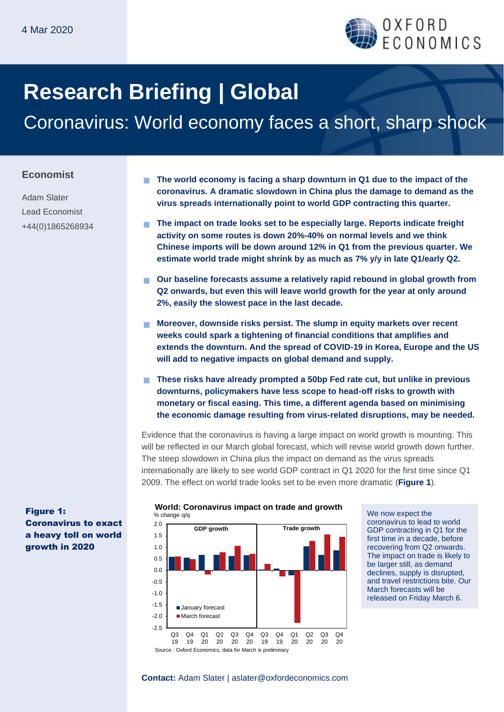

# **Research Briefing | Global**

Coronavirus: World economy faces a short, sharp shock

#### **Economist**

Adam Slater Lead Economist +44(0)1865268934

- **The world economy is facing a sharp downturn in Q1 due to the impact of the coronavirus. A dramatic slowdown in China plus the damage to demand as the virus spreads internationally point to world GDP contracting this quarter.**
- **The impact on trade looks set to be especially large. Reports indicate freight activity on some routes is down 20%-40% on normal levels and we think Chinese imports will be down around 12% in Q1 from the previous quarter. We estimate world trade might shrink by as much as 7% y/y in late Q1/early Q2.**
- **Our baseline forecasts assume a relatively rapid rebound in global growth from Q2 onwards, but even this will leave world growth for the year at only around 2%, easily the slowest pace in the last decade.**
- **Moreover, downside risks persist. The slump in equity markets over recent weeks could spark a tightening of financial conditions that amplifies and extends the downturn. And the spread of COVID-19 in Korea, Europe and the US will add to negative impacts on global demand and supply.**
- **These risks have already prompted a 50bp Fed rate cut, but unlike in previous downturns, policymakers have less scope to head-off risks to growth with monetary or fiscal easing. This time, a different agenda based on minimising the economic damage resulting from virus-related disruptions, may be needed.**

Evidence that the coronavirus is having a large impact on world growth is mounting. This will be reflected in our March global forecast, which will revise world growth down further. The steep slowdown in China plus the impact on demand as the virus spreads internationally are likely to see world GDP contract in Q1 2020 for the first time since Q1 2009. The effect on world trade looks set to be even more dramatic (**Figure 1**).



We now expect the coronavirus to lead to world GDP contracting in Q1 for the first time in a decade, before recovering from Q2 onwards. The impact on trade is likely to be larger still, as demand declines, supply is disrupted, and travel restrictions bite. Our March forecasts will be released on Friday March 6.

Figure 1: Coronavirus to exact a heavy toll on world growth in 2020

**Contact:** Adam Slater | aslater@oxfordeconomics.com